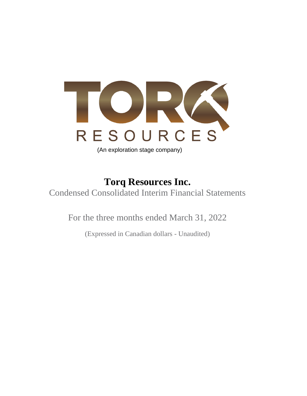

# **Torq Resources Inc.**

Condensed Consolidated Interim Financial Statements

For the three months ended March 31, 2022

(Expressed in Canadian dollars - Unaudited)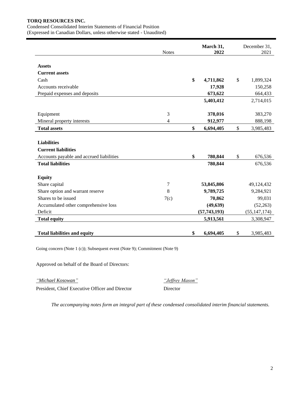Condensed Consolidated Interim Statements of Financial Position

(Expressed in Canadian Dollars, unless otherwise stated - Unaudited)

|                                          | <b>Notes</b> | March 31,<br>2022 | December 31,<br>2021 |
|------------------------------------------|--------------|-------------------|----------------------|
| <b>Assets</b>                            |              |                   |                      |
| <b>Current assets</b>                    |              |                   |                      |
| Cash                                     |              | \$<br>4,711,862   | \$<br>1,899,324      |
| Accounts receivable                      |              | 17,928            | 150,258              |
| Prepaid expenses and deposits            |              | 673,622           | 664,433              |
|                                          |              | 5,403,412         | 2,714,015            |
|                                          |              |                   |                      |
| Equipment                                | 3            | 378,016           | 383,270              |
| Mineral property interests               | 4            | 912,977           | 888,198              |
| <b>Total assets</b>                      |              | \$<br>6,694,405   | \$<br>3,985,483      |
|                                          |              |                   |                      |
| <b>Liabilities</b>                       |              |                   |                      |
| <b>Current liabilities</b>               |              |                   |                      |
| Accounts payable and accrued liabilities |              | \$<br>780,844     | \$<br>676,536        |
| <b>Total liabilities</b>                 |              | 780,844           | 676,536              |
|                                          |              |                   |                      |
| <b>Equity</b>                            |              |                   |                      |
| Share capital                            | 7            | 53,845,806        | 49,124,432           |
| Share option and warrant reserve         | 8            | 9,789,725         | 9,284,921            |
| Shares to be issued                      | 7(c)         | 70,862            | 99,031               |
| Accumulated other comprehensive loss     |              | (49, 639)         | (52, 263)            |
| Deficit                                  |              | (57, 743, 193)    | (55, 147, 174)       |
| <b>Total equity</b>                      |              | 5,913,561         | 3,308,947            |
|                                          |              |                   |                      |
| <b>Total liabilities and equity</b>      |              | \$<br>6,694,405   | \$<br>3,985,483      |

Going concern (Note 1 (c)); Subsequent event (Note 9); Commitment (Note 9)

Approved on behalf of the Board of Directors:

*"Michael Kosowan"* President, Chief Executive Officer and Director

*"Jeffrey Mason"* Director

*The accompanying notes form an integral part of these condensed consolidated interim financial statements.*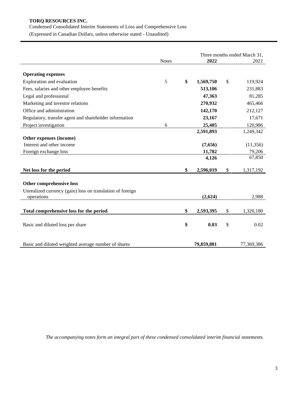Condensed Consolidated Interim Statements of Loss and Comprehensive Loss (Expressed in Canadian Dollars, unless otherwise stated - Unaudited)

Three months ended March 31, Notes **2022** 2021 **Operating expenses** Exploration and evaluation 5 **\$ 1,569,750** \$ 119,924 Fees, salaries and other employee benefits **513,106** 231,883 Legal and professional **47,363** 81,285 Marketing and investor relations **270,932** 465,466 Office and administration **142,170** 212,127 Regulatory, transfer agent and shareholder information **23,167** 17,671 Project investigation 6 **25,405** 120,986 **2,591,893** 1,249,342 **Other expenses (income)** Interest and other income **(7,656)** (11,356) Foreign exchange loss **11,782** 79,206 **4,126** 67,850 **Net loss for the period \$ 2,596,019** \$ 1,317,192 **Other comprehensive loss**  Unrealized currency (gain) loss on translation of foreign operations **(2,624)** 2,988 **Total comprehensive loss for the period \$ 2,593,395** \$ 1,320,180 Basic and diluted loss per share **\$ 0.03** \$ 0.02 Basic and diluted weighted average number of shares **79,859,881** 77,369,386

*The accompanying notes form an integral part of these condensed consolidated interim financial statements.*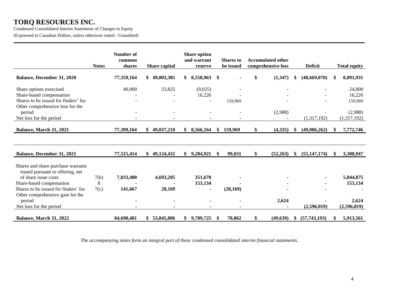Condensed Consolidated Interim Statements of Changes in Equity (Expressed in Canadian Dollars, unless otherwise stated - Unaudited)

|                                                                                                                                                                                                                                             | <b>Notes</b>      | Number of<br>common<br>shares | Share capital       | <b>Share option</b><br>and warrant<br>reserve | <b>Shares</b> to<br>be issued | <b>Accumulated other</b><br>comprehensive loss |    | <b>Deficit</b> | <b>Total equity</b>                          |
|---------------------------------------------------------------------------------------------------------------------------------------------------------------------------------------------------------------------------------------------|-------------------|-------------------------------|---------------------|-----------------------------------------------|-------------------------------|------------------------------------------------|----|----------------|----------------------------------------------|
| <b>Balance, December 31, 2020</b>                                                                                                                                                                                                           |                   | 77,359,164                    | 49,003,385<br>\$    | 8,558,963<br>\$                               | \$                            | \$<br>(1,347)                                  | -8 | (48, 669, 070) | \$<br>8,891,931                              |
| Share options exercised<br>Share-based compensation<br>Shares to be issued for finders' fee<br>Other comprehensive loss for the                                                                                                             |                   | 40,000                        | 33,825              | (9,025)<br>16,226                             | 159,969                       |                                                |    |                | 24,800<br>16,226<br>159,969                  |
| period<br>Net loss for the period                                                                                                                                                                                                           |                   |                               |                     |                                               |                               | (2,988)                                        |    | (1,317,192)    | (2,988)<br>(1,317,192)                       |
| Balance, March 31, 2021                                                                                                                                                                                                                     |                   | 77,399,164                    | 49,037,210<br>\$    | \$<br>8,566,164                               | \$<br>159,969                 | \$<br>(4,335)                                  |    | (49,986,262)   | \$<br>7,772,746                              |
|                                                                                                                                                                                                                                             |                   |                               |                     |                                               |                               |                                                |    |                |                                              |
| Balance, December 31, 2021                                                                                                                                                                                                                  |                   | 77,515,414                    | \$49,124,432        | \$9,284,921                                   | \$<br>99,031                  | \$<br>(52, 263)                                | -S | (55, 147, 174) | \$<br>3,308,947                              |
| Shares and share purchase warrants<br>issued pursuant to offering, net<br>of share issue costs<br>Share-based compensation<br>Shares to be issued for finders' fee<br>Other comprehensive gain for the<br>period<br>Net loss for the period | 7(b)<br>8<br>7(c) | 7,033,400<br>141,667          | 4,693,205<br>28,169 | 351,670<br>153,134                            | (28, 169)                     | 2,624                                          |    | (2,596,019)    | 5,044,875<br>153,134<br>2,624<br>(2,596,019) |
| Balance, March 31, 2022                                                                                                                                                                                                                     |                   | 84,690,481                    | \$53,845,806        | 9,789,725<br>\$                               | \$<br>70,862                  | \$<br>(49, 639)                                |    | (57, 743, 193) | \$<br>5,913,561                              |

*The accompanying notes form an integral part of these condensed consolidated interim financial statements.*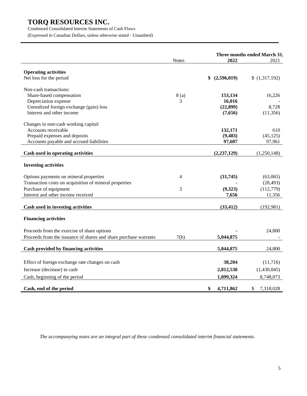Condensed Consolidated Interim Statements of Cash Flows

(Expressed in Canadian Dollars, unless otherwise stated - Unaudited)

|                                                                  | <b>Notes</b> | 2022              | Three months ended March 31,<br>2021 |
|------------------------------------------------------------------|--------------|-------------------|--------------------------------------|
|                                                                  |              |                   |                                      |
| <b>Operating activities</b>                                      |              |                   |                                      |
| Net loss for the period                                          |              | (2,596,019)<br>\$ | (1,317,192)                          |
| Non-cash transactions:                                           |              |                   |                                      |
| Share-based compensation                                         | 8(a)         | 153,134           | 16,226                               |
| Depreciation expense                                             | 3            | 16,016            |                                      |
| Unrealized foreign exchange (gain) loss                          |              | (22, 899)         | 8,728                                |
| Interest and other income                                        |              | (7,656)           | (11,356)                             |
| Changes in non-cash working capital:                             |              |                   |                                      |
| Accounts receivable                                              |              | 132,171           | 610                                  |
| Prepaid expenses and deposits                                    |              | (9, 483)          | (45, 125)                            |
| Accounts payable and accrued liabilities                         |              | 97,607            | 97,961                               |
| Cash used in operating activities                                |              | (2, 237, 129)     | (1,250,148)                          |
| <b>Investing activities</b>                                      |              |                   |                                      |
| Options payments on mineral properties                           | 4            | (31,745)          | (63,065)                             |
| Transaction costs on acquisition of mineral properties           |              |                   | (28, 493)                            |
| Purchase of equipment                                            | 3            | (9,323)           | (112, 779)                           |
| Interest and other income received                               |              | 7,656             | 11,356                               |
| Cash used in investing activities                                |              | (33, 412)         | (192,981)                            |
|                                                                  |              |                   |                                      |
| <b>Financing activities</b>                                      |              |                   |                                      |
| Proceeds from the exercise of share options                      |              |                   | 24,800                               |
| Proceeds from the issuance of shares and share purchase warrants | 7(b)         | 5,044,875         |                                      |
| <b>Cash provided by financing activities</b>                     |              | 5,044,875         | 24,800                               |
|                                                                  |              |                   |                                      |
| Effect of foreign exchange rate changes on cash                  |              | 38,204            | (11,716)                             |
| Increase (decrease) in cash                                      |              | 2,812,538         | (1,430,045)                          |
| Cash, beginning of the period                                    |              | 1,899,324         | 8,748,073                            |
| Cash, end of the period                                          |              | \$<br>4,711,862   | \$<br>7,318,028                      |

*The accompanying notes are an integral part of these condensed consolidated interim financial statements.*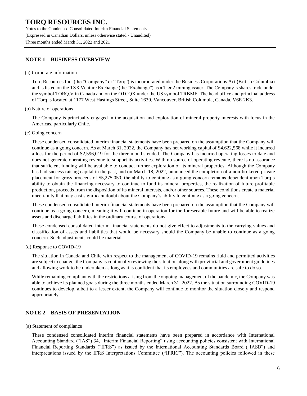Notes to the Condensed Consolidated Interim Financial Statements (Expressed in Canadian Dollars, unless otherwise stated - Unaudited) Three months ended March 31, 2022 and 2021

### **NOTE 1 – BUSINESS OVERVIEW**

#### (a) Corporate information

Torq Resources Inc. (the "Company" or "Torq") is incorporated under the Business Corporations Act (British Columbia) and is listed on the TSX Venture Exchange (the "Exchange") as a Tier 2 mining issuer. The Company's shares trade under the symbol TORQ.V in Canada and on the OTCQX under the US symbol TRBMF. The head office and principal address of Torq is located at 1177 West Hastings Street, Suite 1630, Vancouver, British Columbia, Canada, V6E 2K3.

(b) Nature of operations

The Company is principally engaged in the acquisition and exploration of mineral property interests with focus in the Americas, particularly Chile.

(c) Going concern

These condensed consolidated interim financial statements have been prepared on the assumption that the Company will continue as a going concern. As at March 31, 2022, the Company has net working capital of \$4,622,568 while it incurred a loss for the period of \$2,596,019 for the three months ended. The Company has incurred operating losses to date and does not generate operating revenue to support its activities. With no source of operating revenue, there is no assurance that sufficient funding will be available to conduct further exploration of its mineral properties. Although the Company has had success raising capital in the past, and on March 18, 2022, announced the completion of a non-brokered private placement for gross proceeds of \$5,275,050, the ability to continue as a going concern remains dependent upon Torq's ability to obtain the financing necessary to continue to fund its mineral properties, the realization of future profitable production, proceeds from the disposition of its mineral interests, and/or other sources. These conditions create a material uncertainty that may cast significant doubt about the Company's ability to continue as a going concern.

These condensed consolidated interim financial statements have been prepared on the assumption that the Company will continue as a going concern, meaning it will continue in operation for the foreseeable future and will be able to realize assets and discharge liabilities in the ordinary course of operations.

These condensed consolidated interim financial statements do not give effect to adjustments to the carrying values and classification of assets and liabilities that would be necessary should the Company be unable to continue as a going concern. Such adjustments could be material.

(d) Response to COVID-19

The situation in Canada and Chile with respect to the management of COVID-19 remains fluid and permitted activities are subject to change; the Company is continually reviewing the situation along with provincial and government guidelines and allowing work to be undertaken as long as it is confident that its employees and communities are safe to do so.

While remaining compliant with the restrictions arising from the ongoing management of the pandemic, the Company was able to achieve its planned goals during the three months ended March 31, 2022. As the situation surrounding COVID-19 continues to develop, albeit to a lesser extent, the Company will continue to monitor the situation closely and respond appropriately.

### **NOTE 2 – BASIS OF PRESENTATION**

(a) Statement of compliance

These condensed consolidated interim financial statements have been prepared in accordance with International Accounting Standard ("IAS") 34, "Interim Financial Reporting" using accounting policies consistent with International Financial Reporting Standards ("IFRS") as issued by the International Accounting Standards Board ("IASB") and interpretations issued by the IFRS Interpretations Committee ("IFRIC"). The accounting policies followed in these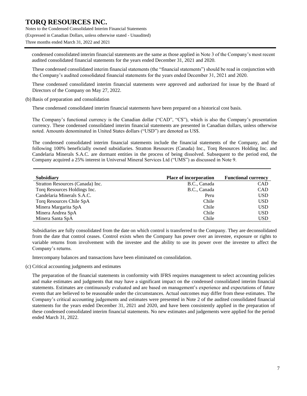Notes to the Condensed Consolidated Interim Financial Statements (Expressed in Canadian Dollars, unless otherwise stated - Unaudited) Three months ended March 31, 2022 and 2021

condensed consolidated interim financial statements are the same as those applied in Note 3 of the Company's most recent audited consolidated financial statements for the years ended December 31, 2021 and 2020.

These condensed consolidated interim financial statements (the "financial statements") should be read in conjunction with the Company's audited consolidated financial statements for the years ended December 31, 2021 and 2020.

These condensed consolidated interim financial statements were approved and authorized for issue by the Board of Directors of the Company on May 27, 2022.

(b) Basis of preparation and consolidation

These condensed consolidated interim financial statements have been prepared on a historical cost basis.

The Company's functional currency is the Canadian dollar ("CAD", "C\$"), which is also the Company's presentation currency. These condensed consolidated interim financial statements are presented in Canadian dollars, unless otherwise noted. Amounts denominated in United States dollars ("USD") are denoted as US\$.

The condensed consolidated interim financial statements include the financial statements of the Company, and the following 100% beneficially owned subsidiaries. Stratton Resources (Canada) Inc., Torq Resources Holding Inc. and Candelaria Minerals S.A.C. are dormant entities in the process of being dissolved. Subsequent to the period end, the Company acquired a 25% interest in Universal Mineral Services Ltd ("UMS") as discussed in Note 9.

| <b>Subsidiary</b>                | <b>Place of incorporation</b> | <b>Functional currency</b> |
|----------------------------------|-------------------------------|----------------------------|
| Stratton Resources (Canada) Inc. | B.C., Canada                  | <b>CAD</b>                 |
| Torq Resources Holdings Inc.     | B.C., Canada                  | <b>CAD</b>                 |
| Candelaria Minerals S.A.C.       | Peru                          | <b>USD</b>                 |
| Torq Resources Chile SpA         | Chile                         | <b>USD</b>                 |
| Minera Margarita SpA             | Chile                         | USD                        |
| Minera Andrea SpA                | Chile                         | <b>USD</b>                 |
| Minera Santa SpA                 | Chile                         | USD                        |

Subsidiaries are fully consolidated from the date on which control is transferred to the Company. They are deconsolidated from the date that control ceases. Control exists when the Company has power over an investee, exposure or rights to variable returns from involvement with the investee and the ability to use its power over the investee to affect the Company's returns.

Intercompany balances and transactions have been eliminated on consolidation.

(c) Critical accounting judgments and estimates

The preparation of the financial statements in conformity with IFRS requires management to select accounting policies and make estimates and judgments that may have a significant impact on the condensed consolidated interim financial statements. Estimates are continuously evaluated and are based on management's experience and expectations of future events that are believed to be reasonable under the circumstances. Actual outcomes may differ from these estimates. The Company's critical accounting judgements and estimates were presented in Note 2 of the audited consolidated financial statements for the years ended December 31, 2021 and 2020, and have been consistently applied in the preparation of these condensed consolidated interim financial statements. No new estimates and judgements were applied for the period ended March 31, 2022.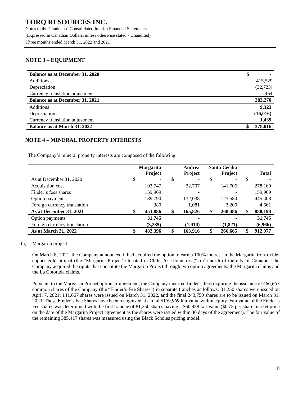Notes to the Condensed Consolidated Interim Financial Statements (Expressed in Canadian Dollars, unless otherwise stated - Unaudited) Three months ended March 31, 2022 and 2021

### **NOTE 3 – EQUIPMENT**

| Balance as at December 31, 2020 |           |
|---------------------------------|-----------|
| <b>Additions</b>                | 415,529   |
| Depreciation                    | (32, 723) |
| Currency translation adjustment | 464       |
| Balance as at December 31, 2021 | 383,270   |
| Additions                       | 9,323     |
| Depreciation                    | (16, 016) |
| Currency translation adjustment | 1,439     |
| Balance as at March 31, 2022    | 378,016   |

### **NOTE 4 – MINERAL PROPERTY INTERESTS**

The Company's mineral property interests are composed of the following:

|                              | <b>Margarita</b><br>Project | Andrea<br>Project | <b>Santa Cecilia</b><br><b>Project</b> | <b>Total</b>  |
|------------------------------|-----------------------------|-------------------|----------------------------------------|---------------|
| As at December 31, 2020      | \$<br>۰                     |                   |                                        |               |
| Acquisition cost             | 103,747                     | 32,707            | 141,706                                | 278,160       |
| Finder's fees shares         | 159,969                     |                   |                                        | 159,969       |
| Option payments              | 189,790                     | 132,038           | 123,580                                | 445,408       |
| Foreign currency translation | 380                         | 1,081             | 3,200                                  | 4,661         |
| As at December 31, 2021      | \$<br>453,886               | \$<br>165,826     | \$<br>268,486                          | \$<br>888,198 |
| Option payments              | 31,745                      |                   |                                        | 31,745        |
| Foreign currency translation | (3,235)                     | (1,910)           | (1,821)                                | (6,966)       |
| As at March 31, 2022         | \$<br>482,396               | \$<br>163,916     | 266,665                                | 912,977       |

(a) Margarita project

On March 8, 2021, the Company announced it had acquired the option to earn a 100% interest in the Margarita iron-oxidecopper-gold project (the "Margarita Project") located in Chile, 65 kilometres ("km") north of the city of Copiapo. The Company acquired the rights that constitute the Margarita Project through two option agreements: the Margarita claims and the La Cototuda claims.

Pursuant to the Margarita Project option arrangement, the Company incurred finder's fees requiring the issuance of 466,667 common shares of the Company (the "Finder's Fee Shares") in separate tranches as follows: 81,250 shares were issued on April 7, 2021; 141,667 shares were issued on March 31, 2022, and the final 243,750 shares are to be issued on March 31, 2023. These Finder's Fee Shares have been recognized at a total \$159,969 fair value within equity. Fair value of the Finder's Fee shares was determined with the first tranche of 81,250 shares having a \$60,938 fair value (\$0.75 per share market price on the date of the Margarita Project agreement as the shares were issued within 30 days of the agreement). The fair value of the remaining 385,417 shares was measured using the Black Scholes pricing model.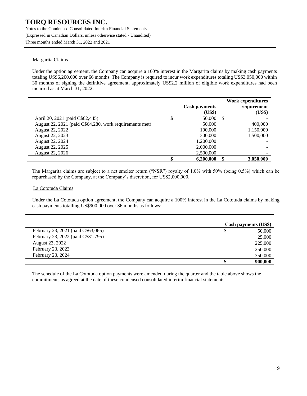Notes to the Condensed Consolidated Interim Financial Statements (Expressed in Canadian Dollars, unless otherwise stated - Unaudited) Three months ended March 31, 2022 and 2021

#### Margarita Claims

Under the option agreement, the Company can acquire a 100% interest in the Margarita claims by making cash payments totaling US\$6,200,000 over 66 months. The Company is required to incur work expenditures totaling US\$3,050,000 within 30 months of signing the definitive agreement, approximately US\$2.2 million of eligible work expenditures had been incurred as at March 31, 2022.

|                                                         | <b>Cash payments</b><br>(US\$) |    | Work expenditures<br>requirement<br>(US\$) |
|---------------------------------------------------------|--------------------------------|----|--------------------------------------------|
| April 20, 2021 (paid C\$62,445)                         | 50,000                         | -S |                                            |
| August 22, 2021 (paid C\$64,280, work requirements met) | 50,000                         |    | 400,000                                    |
| August 22, 2022                                         | 100,000                        |    | 1,150,000                                  |
| August 22, 2023                                         | 300,000                        |    | 1,500,000                                  |
| August 22, 2024                                         | 1,200,000                      |    |                                            |
| August 22, 2025                                         | 2,000,000                      |    |                                            |
| <b>August 22, 2026</b>                                  | 2,500,000                      |    | -                                          |
|                                                         | 6.200.000                      | \$ | 3.050.000                                  |

The Margarita claims are subject to a net smelter return ("NSR") royalty of 1.0% with 50% (being 0.5%) which can be repurchased by the Company, at the Company's discretion, for US\$2,000,000.

#### La Cototuda Claims

Under the La Cototuda option agreement, the Company can acquire a 100% interest in the La Cototuda claims by making cash payments totalling US\$900,000 over 36 months as follows:

|                                    | Cash payments (US\$) |  |
|------------------------------------|----------------------|--|
| February 23, 2021 (paid C\$63,065) | 50,000               |  |
| February 23, 2022 (paid C\$31,795) | 25,000               |  |
| August 23, 2022                    | 225,000              |  |
| February 23, 2023                  | 250,000              |  |
| February 23, 2024                  | 350,000              |  |
|                                    | 900,000              |  |

The schedule of the La Cototuda option payments were amended during the quarter and the table above shows the commitments as agreed at the date of these condensed consolidated interim financial statements.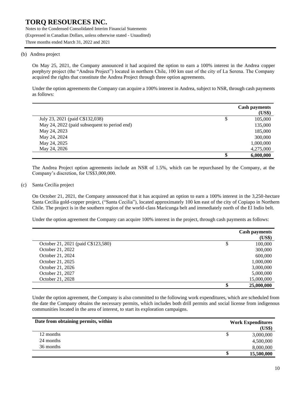Notes to the Condensed Consolidated Interim Financial Statements (Expressed in Canadian Dollars, unless otherwise stated - Unaudited) Three months ended March 31, 2022 and 2021

#### (b) Andrea project

On May 25, 2021, the Company announced it had acquired the option to earn a 100% interest in the Andrea copper porphyry project (the "Andrea Project") located in northern Chile, 100 km east of the city of La Serena. The Company acquired the rights that constitute the Andrea Project through three option agreements.

Under the option agreements the Company can acquire a 100% interest in Andrea, subject to NSR, through cash payments as follows:

|                                              | <b>Cash payments</b><br>(US\$) |
|----------------------------------------------|--------------------------------|
| July 23, 2021 (paid C\$132,038)              | \$<br>105,000                  |
| May 24, 2022 (paid subsequent to period end) | 135,000                        |
| May 24, 2023                                 | 185,000                        |
| May 24, 2024                                 | 300,000                        |
| May 24, 2025                                 | 1,000,000                      |
| May 24, 2026                                 | 4,275,000                      |
|                                              | \$<br>6,000,000                |

The Andrea Project option agreements include an NSR of 1.5%, which can be repurchased by the Company, at the Company's discretion, for US\$3,000,000.

#### (c) Santa Cecilia project

On October 21, 2021, the Company announced that it has acquired an option to earn a 100% interest in the 3,250-hectare Santa Cecilia gold-copper project, ("Santa Cecilia"), located approximately 100 km east of the city of Copiapo in Northern Chile. The project is in the southern region of the world-class Maricunga belt and immediately north of the El Indio belt.

Under the option agreement the Company can acquire 100% interest in the project, through cash payments as follows:

|                                    | <b>Cash payments</b> |
|------------------------------------|----------------------|
|                                    | (US\$)               |
| October 21, 2021 (paid C\$123,580) | \$<br>100,000        |
| October 21, 2022                   | 300,000              |
| October 21, 2024                   | 600,000              |
| October 21, 2025                   | 1,000,000            |
| October 21, 2026                   | 3,000,000            |
| October 21, 2027                   | 5,000,000            |
| October 21, 2028                   | 15,000,000           |
|                                    | \$<br>25,000,000     |

Under the option agreement, the Company is also committed to the following work expenditures, which are scheduled from the date the Company obtains the necessary permits, which includes both drill permits and social license from indigenous communities located in the area of interest, to start its exploration campaigns.

| Date from obtaining permits, within | <b>Work Expenditures</b> |
|-------------------------------------|--------------------------|
|                                     | (US\$)                   |
| 12 months                           | 3,000,000<br>P           |
| 24 months                           | 4,500,000                |
| 36 months                           | 8,000,000                |
|                                     | 15,500,000<br>J.         |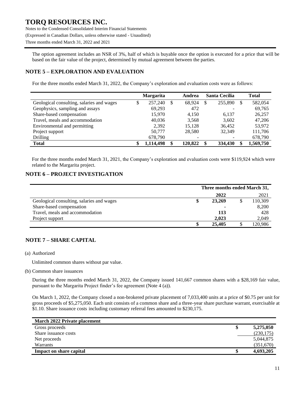Notes to the Condensed Consolidated Interim Financial Statements (Expressed in Canadian Dollars, unless otherwise stated - Unaudited) Three months ended March 31, 2022 and 2021

The option agreement includes an NSR of 3%, half of which is buyable once the option is executed for a price that will be based on the fair value of the project, determined by mutual agreement between the parties.

### **NOTE 5 – EXPLORATION AND EVALUATION**

For the three months ended March 31, 2022, the Company's exploration and evaluation costs were as follows:

|                                           |    | <b>Margarita</b> | Andrea       |               | <b>Santa Cecilia</b> |          | <b>Total</b> |
|-------------------------------------------|----|------------------|--------------|---------------|----------------------|----------|--------------|
| Geological consulting, salaries and wages | ۰D | 257,240          | \$<br>68.924 | <sup>\$</sup> | 255,890              | <b>S</b> | 582,054      |
| Geophysics, sampling and assays           |    | 69,293           | 472          |               |                      |          | 69,765       |
| Share-based compensation                  |    | 15,970           | 4.150        |               | 6.137                |          | 26,257       |
| Travel, meals and accommodation           |    | 40.036           | 3,568        |               | 3,602                |          | 47,206       |
| Environmental and permitting              |    | 2,392            | 15,128       |               | 36.452               |          | 53,972       |
| Project support                           |    | 50,777           | 28,580       |               | 32.349               |          | 111,706      |
| Drilling                                  |    | 678,790          |              |               |                      |          | 678,790      |
| Total                                     |    | 1,114,498        | 120.822      | £.            | 334,430              |          | 1,569,750    |

For the three months ended March 31, 2021, the Company's exploration and evaluation costs were \$119,924 which were related to the Margarita project.

### **NOTE 6 – PROJECT INVESTIGATION**

|                                           | Three months ended March 31, |        |  |         |
|-------------------------------------------|------------------------------|--------|--|---------|
|                                           |                              | 2022   |  | 2021    |
| Geological consulting, salaries and wages | \$                           | 23,269 |  | 110,309 |
| Share-based compensation                  |                              |        |  | 8,200   |
| Travel, meals and accommodation           |                              | 113    |  | 428     |
| Project support                           |                              | 2,023  |  | 2,049   |
|                                           | \$                           | 25,405 |  | 120,986 |

### **NOTE 7 – SHARE CAPITAL**

(a) Authorized

Unlimited common shares without par value.

(b) Common share issuances

During the three months ended March 31, 2022, the Company issued 141,667 common shares with a \$28,169 fair value, pursuant to the Margarita Project finder's fee agreement (Note 4 (a)).

On March 1, 2022, the Company closed a non-brokered private placement of 7,033,400 units at a price of \$0.75 per unit for gross proceeds of \$5,275,050. Each unit consists of a common share and a three-year share purchase warrant, exercisable at \$1.10. Share issuance costs including customary referral fees amounted to \$230,175.

| March 2022 Private placement |            |
|------------------------------|------------|
| Gross proceeds               | 5,275,050  |
| Share issuance costs         | (230, 175) |
| Net proceeds                 | 5,044,875  |
| <b>Warrants</b>              | (351,670)  |
| Impact on share capital      | 4,693,205  |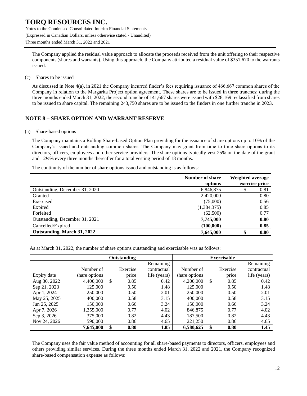Notes to the Condensed Consolidated Interim Financial Statements (Expressed in Canadian Dollars, unless otherwise stated - Unaudited) Three months ended March 31, 2022 and 2021

The Company applied the residual value approach to allocate the proceeds received from the unit offering to their respective components (shares and warrants). Using this approach, the Company attributed a residual value of \$351,670 to the warrants issued.

(c) Shares to be issued

As discussed in Note 4(a), in 2021 the Company incurred finder's fees requiring issuance of 466,667 common shares of the Company in relation to the Margarita Project option agreement. These shares are to be issued in three tranches; during the three months ended March 31, 2022, the second tranche of 141,667 shares were issued with \$28,169 reclassified from shares to be issued to share capital. The remaining 243,750 shares are to be issued to the finders in one further tranche in 2023.

### **NOTE 8 – SHARE OPTION AND WARRANT RESERVE**

#### (a) Share-based options

The Company maintains a Rolling Share-based Option Plan providing for the issuance of share options up to 10% of the Company's issued and outstanding common shares. The Company may grant from time to time share options to its directors, officers, employees and other service providers. The share options typically vest 25% on the date of the grant and 12½% every three months thereafter for a total vesting period of 18 months.

The continuity of the number of share options issued and outstanding is as follows:

|                                | Number of share<br>options | Weighted average<br>exercise price |      |  |
|--------------------------------|----------------------------|------------------------------------|------|--|
| Outstanding, December 31, 2020 | 6,846,875                  |                                    | 0.81 |  |
| Granted                        | 2,420,000                  |                                    | 0.80 |  |
| Exercised                      | (75,000)                   |                                    | 0.56 |  |
| Expired                        | (1,384,375)                |                                    | 0.85 |  |
| Forfeited                      | (62,500)                   |                                    | 0.77 |  |
| Outstanding, December 31, 2021 | 7,745,000                  |                                    | 0.80 |  |
| Cancelled/Expired              | (100,000)                  |                                    | 0.85 |  |
| Outstanding, March 31, 2022    | 7,645,000                  | \$                                 | 0.80 |  |

As at March 31, 2022, the number of share options outstanding and exercisable was as follows:

|              |               | <b>Outstanding</b> |              | <b>Exercisable</b> |               |          |              |
|--------------|---------------|--------------------|--------------|--------------------|---------------|----------|--------------|
|              |               |                    | Remaining    |                    |               |          | Remaining    |
|              | Number of     | Exercise           | contractual  | Number of          |               | Exercise | contractual  |
| Expiry date  | share options | price              | life (years) | share options      |               | price    | life (years) |
| Aug 30, 2022 | 4,400,000     | \$<br>0.85         | 0.42         | 4,200,000          | $\mathcal{S}$ | 0.85     | 0.42         |
| Sep 21, 2023 | 125,000       | 0.50               | 1.48         | 125,000            |               | 0.50     | 1.48         |
| Apr 1, 2024  | 250,000       | 0.50               | 2.01         | 250,000            |               | 0.50     | 2.01         |
| May 25, 2025 | 400,000       | 0.58               | 3.15         | 400,000            |               | 0.58     | 3.15         |
| Jun 25, 2025 | 150,000       | 0.66               | 3.24         | 150,000            |               | 0.66     | 3.24         |
| Apr 7, 2026  | 1,355,000     | 0.77               | 4.02         | 846,875            |               | 0.77     | 4.02         |
| Sep 3, 2026  | 375,000       | 0.82               | 4.43         | 187,500            |               | 0.82     | 4.43         |
| Nov 24, 2026 | 590,000       | 0.86               | 4.65         | 221,250            |               | 0.86     | 4.65         |
|              | 7,645,000     | \$<br>0.80         | 1.85         | 6,580,625          | \$            | 0.80     | 1.45         |

The Company uses the fair value method of accounting for all share-based payments to directors, officers, employees and others providing similar services. During the three months ended March 31, 2022 and 2021, the Company recognized share-based compensation expense as follows: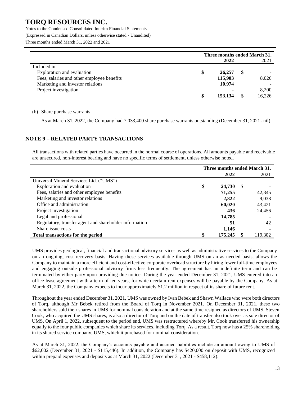Notes to the Condensed Consolidated Interim Financial Statements (Expressed in Canadian Dollars, unless otherwise stated - Unaudited) Three months ended March 31, 2022 and 2021

|                                            | Three months ended March 31, |         |  |        |
|--------------------------------------------|------------------------------|---------|--|--------|
|                                            |                              | 2022    |  | 2021   |
| Included in:                               |                              |         |  |        |
| Exploration and evaluation                 | \$                           | 26,257  |  |        |
| Fees, salaries and other employee benefits |                              | 115,903 |  | 8,026  |
| Marketing and investor relations           |                              | 10,974  |  |        |
| Project investigation                      |                              |         |  | 8,200  |
|                                            |                              | 153,134 |  | 16,226 |

(b) Share purchase warrants

As at March 31, 2022, the Company had 7,033,400 share purchase warrants outstanding (December 31, 2021- nil).

### **NOTE 9 – RELATED PARTY TRANSACTIONS**

All transactions with related parties have occurred in the normal course of operations. All amounts payable and receivable are unsecured, non-interest bearing and have no specific terms of settlement, unless otherwise noted.

|                                                        | Three months ended March 31, |         |    |         |  |
|--------------------------------------------------------|------------------------------|---------|----|---------|--|
|                                                        |                              | 2022    |    | 2021    |  |
| Universal Mineral Services Ltd. ("UMS")                |                              |         |    |         |  |
| Exploration and evaluation                             | \$                           | 24,730  | -S |         |  |
| Fees, salaries and other employee benefits             |                              | 71,255  |    | 42,345  |  |
| Marketing and investor relations                       |                              | 2.822   |    | 9,038   |  |
| Office and administration                              |                              | 60,020  |    | 43,421  |  |
| Project investigation                                  |                              | 436     |    | 24,456  |  |
| Legal and professional                                 |                              | 14,785  |    |         |  |
| Regulatory, transfer agent and shareholder information |                              | 51      |    | 42      |  |
| Share issue costs                                      |                              | 1,146   |    |         |  |
| Total transactions for the period                      |                              | 175,245 |    | 119.302 |  |

UMS provides geological, financial and transactional advisory services as well as administrative services to the Company on an ongoing, cost recovery basis. Having these services available through UMS on an as needed basis, allows the Company to maintain a more efficient and cost-effective corporate overhead structure by hiring fewer full-time employees and engaging outside professional advisory firms less frequently. The agreement has an indefinite term and can be terminated by either party upon providing due notice. During the year ended December 31, 2021, UMS entered into an office lease agreement with a term of ten years, for which certain rent expenses will be payable by the Company. As at March 31, 2022, the Company expects to incur approximately \$1.2 million in respect of its share of future rent.

Throughout the year ended December 31, 2021, UMS was owned by Ivan Bebek and Shawn Wallace who were both directors of Torq, although Mr Bebek retired from the Board of Torq in November 2021. On December 31, 2021, these two shareholders sold their shares in UMS for nominal consideration and at the same time resigned as directors of UMS. Steven Cook, who acquired the UMS shares, is also a director of Torq and on the date of transfer also took over as sole director of UMS. On April 1, 2022, subsequent to the period end, UMS was restructured whereby Mr. Cook transferred his ownership equally to the four public companies which share its services, including Torq. As a result, Torq now has a 25% shareholding in its shared service company, UMS, which it purchased for nominal consideration.

As at March 31, 2022, the Company's accounts payable and accrued liabilities include an amount owing to UMS of \$62,002 (December 31, 2021 - \$115,446). In addition, the Company has \$420,000 on deposit with UMS, recognized within prepaid expenses and deposits as at March 31, 2022 (December 31, 2021 - \$458,112).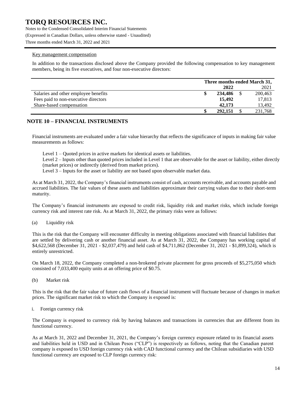Notes to the Condensed Consolidated Interim Financial Statements (Expressed in Canadian Dollars, unless otherwise stated - Unaudited) Three months ended March 31, 2022 and 2021

#### Key management compensation

In addition to the transactions disclosed above the Company provided the following compensation to key management members, being its five executives, and four non-executive directors:

|                                      | Three months ended March 31, |         |  |         |
|--------------------------------------|------------------------------|---------|--|---------|
|                                      |                              | 2022    |  | 2021    |
| Salaries and other employee benefits |                              | 234,486 |  | 200,463 |
| Fees paid to non-executive directors |                              | 15,492  |  | 17,813  |
| Share-based compensation             |                              | 42,173  |  | 13.492  |
|                                      |                              | 292,151 |  | 231,768 |

### **NOTE 10 – FINANCIAL INSTRUMENTS**

Financial instruments are evaluated under a fair value hierarchy that reflects the significance of inputs in making fair value measurements as follows:

Level 1 – Quoted prices in active markets for identical assets or liabilities.

Level 2 – Inputs other than quoted prices included in Level 1 that are observable for the asset or liability, either directly (market prices) or indirectly (derived from market prices).

Level 3 – Inputs for the asset or liability are not based upon observable market data.

As at March 31, 2022, the Company's financial instruments consist of cash, accounts receivable, and accounts payable and accrued liabilities. The fair values of these assets and liabilities approximate their carrying values due to their short-term maturity.

The Company's financial instruments are exposed to credit risk, liquidity risk and market risks, which include foreign currency risk and interest rate risk. As at March 31, 2022, the primary risks were as follows:

(a) Liquidity risk

This is the risk that the Company will encounter difficulty in meeting obligations associated with financial liabilities that are settled by delivering cash or another financial asset. As at March 31, 2022, the Company has working capital of \$4,622,568 (December 31, 2021 - \$2,037,479) and held cash of \$4,711,862 (December 31, 2021 - \$1,899,324), which is entirely unrestricted.

On March 18, 2022, the Company completed a non-brokered private placement for gross proceeds of \$5,275,050 which consisted of 7,033,400 equity units at an offering price of \$0.75.

(b) Market risk

This is the risk that the fair value of future cash flows of a financial instrument will fluctuate because of changes in market prices. The significant market risk to which the Company is exposed is:

i. Foreign currency risk

The Company is exposed to currency risk by having balances and transactions in currencies that are different from its functional currency.

As at March 31, 2022 and December 31, 2021, the Company's foreign currency exposure related to its financial assets and liabilities held in USD and in Chilean Pesos ("CLP") is respectively as follows, noting that the Canadian parent company is exposed to USD foreign currency risk with CAD functional currency and the Chilean subsidiaries with USD functional currency are exposed to CLP foreign currency risk: